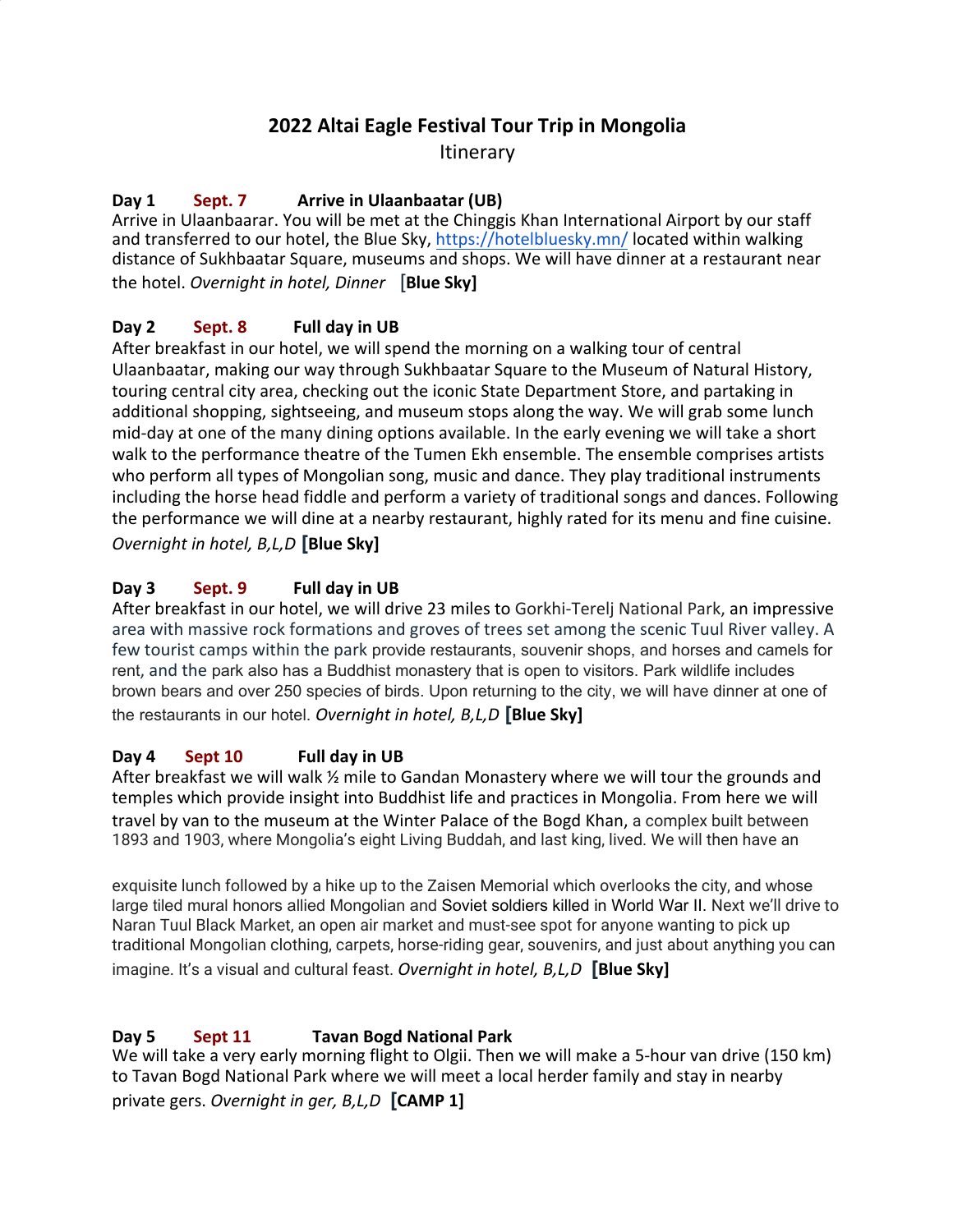# **2022 Altai Eagle Festival Tour Trip in Mongolia**

**Itinerary** 

## **Day 1 Sept. 7 Arrive in Ulaanbaatar (UB)**

Arrive in Ulaanbaarar. You will be met at the Chinggis Khan International Airport by our staff and transferred to our hotel, the Blue Sky, <https://hotelbluesky.mn/>located within walking distance of Sukhbaatar Square, museums and shops. We will have dinner at a restaurant near the hotel. *Overnight in hotel, Dinner* [**Blue Sky]**

## **Day 2 Sept. 8 Full day in UB**

After breakfast in our hotel, we will spend the morning on a walking tour of central Ulaanbaatar, making our way through Sukhbaatar Square to the Museum of Natural History, touring central city area, checking out the iconic State Department Store, and partaking in additional shopping, sightseeing, and museum stops along the way. We will grab some lunch mid-day at one of the many dining options available. In the early evening we will take a short walk to the performance theatre of the Tumen Ekh ensemble. The ensemble comprises artists who perform all types of Mongolian song, music and dance. They play traditional instruments including the horse head fiddle and perform a variety of traditional songs and dances. Following the performance we will dine at a nearby restaurant, highly rated for its menu and fine cuisine. *Overnight in hotel, B,L,D* **[Blue Sky]**

## **Day 3 Sept. 9 Full day in UB**

After breakfast in our hotel, we will drive 23 miles to Gorkhi-Terelj National Park, an impressive area with massive rock formations and groves of trees set among the scenic Tuul River valley. A few tourist camps within the park provide restaurants, souvenir shops, and horses and camels for rent, and the park also has a Buddhist monastery that is open to visitors. Park wildlife includes brown bears and over 250 species of birds. Upon returning to the city, we will have dinner at one of the restaurants in our hotel. *Overnight in hotel, B,L,D* **[Blue Sky]**

## **Day 4 Sept 10 Full day in UB**

After breakfast we will walk  $\frac{1}{2}$  mile to Gandan Monastery where we will tour the grounds and temples which provide insight into Buddhist life and practices in Mongolia. From here we will travel by van to the museum at the Winter Palace of the Bogd Khan, a complex built between 1893 and 1903, where Mongolia's eight Living Buddah, and last king, lived. We will then have an

exquisite lunch followed by a hike up to the Zaisen Memorial which overlooks the city, and whose large tiled mural honors allied Mongolian and [Soviet](https://en.wikipedia.org/wiki/Soviet_Union) soldiers killed in [World War II.](https://en.wikipedia.org/wiki/World_War_II) Next we'll drive to Naran Tuul Black Market, an open air market and must-see spot for anyone wanting to pick up traditional Mongolian clothing, carpets, horse-riding gear, souvenirs, and just about anything you can imagine. It's a visual and cultural feast. *Overnight in hotel, B,L,D* **[Blue Sky]**

## **Day 5 Sept 11**1 **Tavan Bogd National Park**

We will take a very early morning flight to Olgii. Then we will make a 5-hour van drive (150 km) to Tavan Bogd National Park where we will meet a local herder family and stay in nearby private gers. *Overnight in ger, B,L,D* **[CAMP 1]**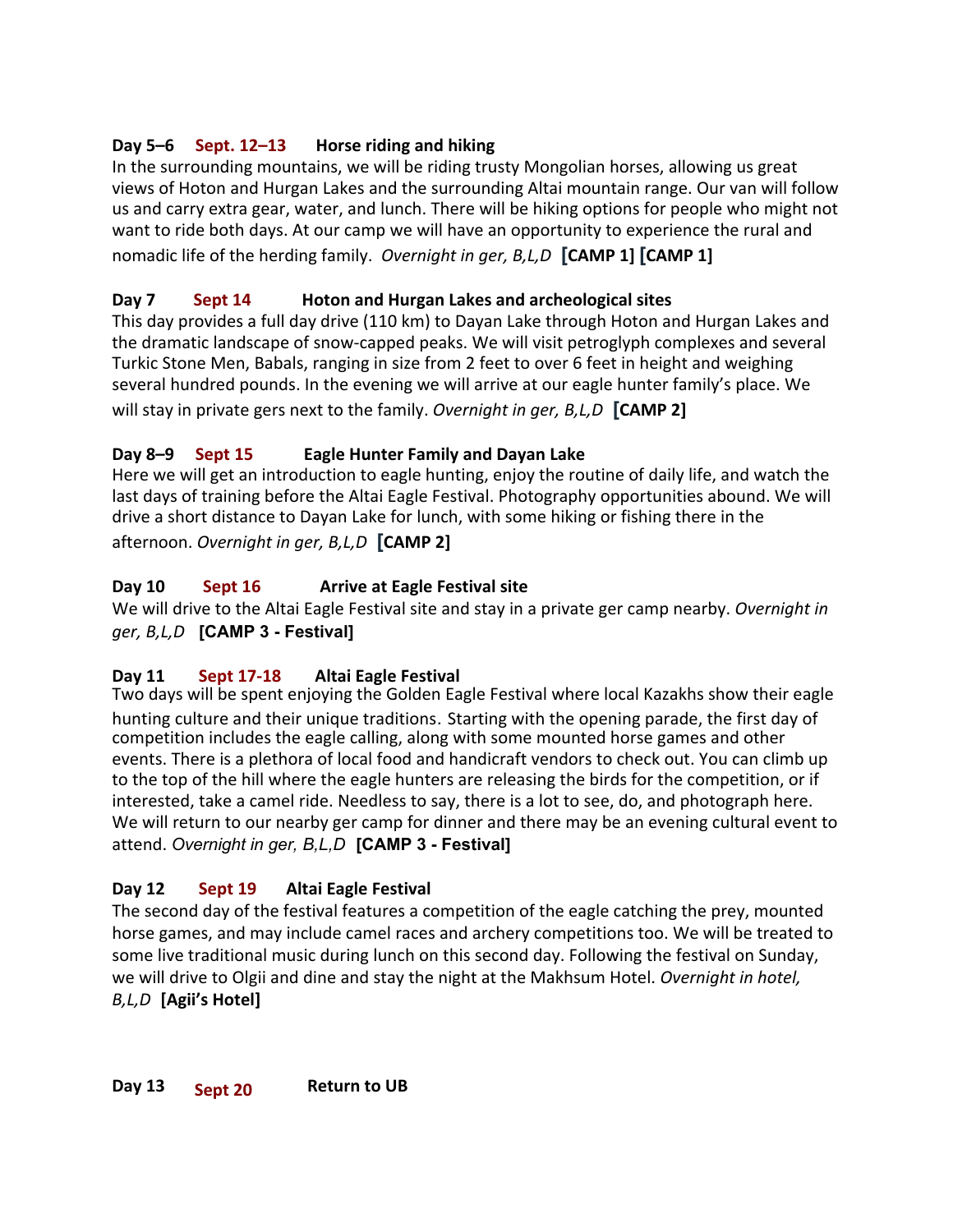## **Day 5–6 Sept. 12–13 Horse riding and hiking**

In the surrounding mountains, we will be riding trusty Mongolian horses, allowing us great views of Hoton and Hurgan Lakes and the surrounding Altai mountain range. Our van will follow us and carry extra gear, water, and lunch. There will be hiking options for people who might not want to ride both days. At our camp we will have an opportunity to experience the rural and nomadic life of the herding family. *Overnight in ger, B,L,D* **[CAMP 1] [CAMP 1]**

## **Day 7 Sept 14 Hoton and Hurgan Lakes and archeological sites**

This day provides a full day drive (110 km) to Dayan Lake through Hoton and Hurgan Lakes and the dramatic landscape of snow-capped peaks. We will visit petroglyph complexes and several Turkic Stone Men, Babals, ranging in size from 2 feet to over 6 feet in height and weighing several hundred pounds. In the evening we will arrive at our eagle hunter family's place. We will stay in private gers next to the family. *Overnight in ger, B,L,D* **[CAMP 2]**

## **Day 8–9 Sept 15 Eagle Hunter Family and Dayan Lake**

Here we will get an introduction to eagle hunting, enjoy the routine of daily life, and watch the last days of training before the Altai Eagle Festival. Photography opportunities abound. We will drive a short distance to Dayan Lake for lunch, with some hiking or fishing there in the afternoon. *Overnight in ger, B,L,D* **[CAMP 2]**

## **Day 10 Sept 16 Arrive at Eagle Festival site**

We will drive to the Altai Eagle Festival site and stay in a private ger camp nearby. *Overnight in ger, B,L,D* **[CAMP 3 - Festival]**

## **Day 11 Sept 17-18 Altai Eagle Festival**

Two days will be spent enjoying the Golden Eagle Festival where local Kazakhs show their eagle hunting culture and their unique traditions. Starting with the opening parade, the first day of competition includes the eagle calling, along with some mounted horse games and other events. There is a plethora of local food and handicraft vendors to check out. You can climb up to the top of the hill where the eagle hunters are releasing the birds for the competition, or if interested, take a camel ride. Needless to say, there is a lot to see, do, and photograph here. We will return to our nearby ger camp for dinner and there may be an evening cultural event to attend. *Overnight in ger, B,L,D* **[CAMP 3 - Festival]**

## **Day 12 Sept 19 Altai Eagle Festival**

The second day of the festival features a competition of the eagle catching the prey, mounted horse games, and may include camel races and archery competitions too. We will be treated to some live traditional music during lunch on this second day. Following the festival on Sunday, we will drive to Olgii and dine and stay the night at the Makhsum Hotel. *Overnight in hotel, B,L,D* **[Agii's Hotel]**